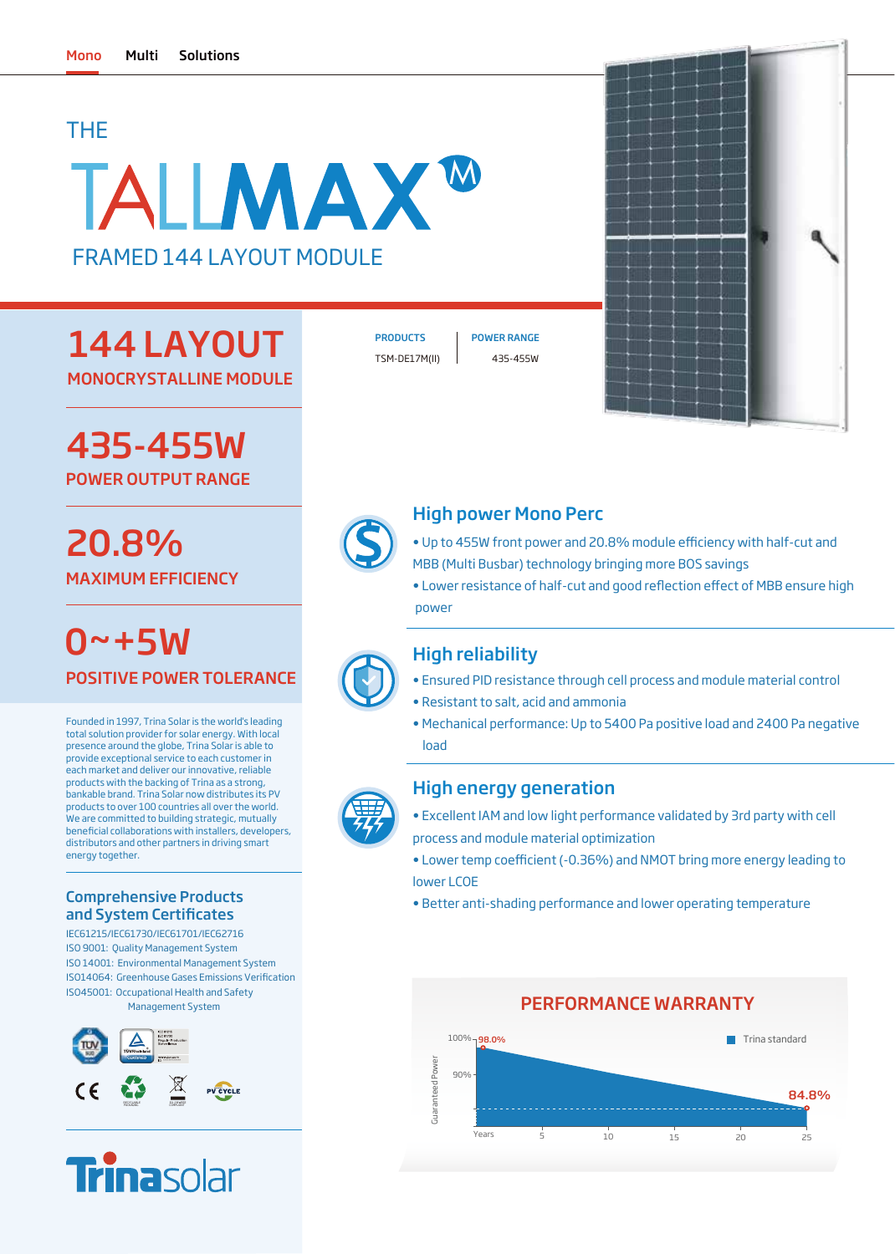# THE

# TALIMAX<sup>w</sup> FRAMED 144 LAYOUT MODULE

# 144 LAYOUT MONOCRYSTALLINE MODULE

TSM-DE17M(II) 435-455W

PRODUCTS | POWER RANGE



435-455W POWER OUTPUT RANGE

# 20.8% MAXIMUM EFFICIENCY

POSITIVE POWER TOLERANCE  $0 - + 5W$ 

Founded in 1997, Trina Solar is the world's leading total solution provider for solar energy. With local presence around the globe, Trina Solar is able to provide exceptional service to each customer in each market and deliver our innovative, reliable products with the backing of Trina as a strong, bankable brand. Trina Solar now distributes its PV products to over 100 countries all over the world. We are committed to building strategic, mutually beneficial collaborations with installers, developers, distributors and other partners in driving smart energy together.

### Comprehensive Products and System Certificates

IEC61215/IEC61730/IEC61701/IEC62716 ISO 9001: Quality Management System ISO 14001: Environmental Management System ISO45001: Occupational Health and Safety Management System ISO14064: Greenhouse Gases Emissions Verification





# High power Mono Perc

- Up to 455W front power and 20.8% module efficiency with half-cut and MBB (Multi Busbar) technology bringing more BOS savings
- Lower resistance of half-cut and good reflection effect of MBB ensure high power

# High reliability

- Ensured PID resistance through cell process and module material control
- Resistant to salt, acid and ammonia
- Mechanical performance: Up to 5400 Pa positive load and 2400 Pa negative load

### High energy generation

- Excellent IAM and low light performance validated by 3rd party with cell process and module material optimization
- Lower temp coefficient (-0.36%) and NMOT bring more energy leading to lower LCOE
- Better anti-shading performance and lower operating temperature